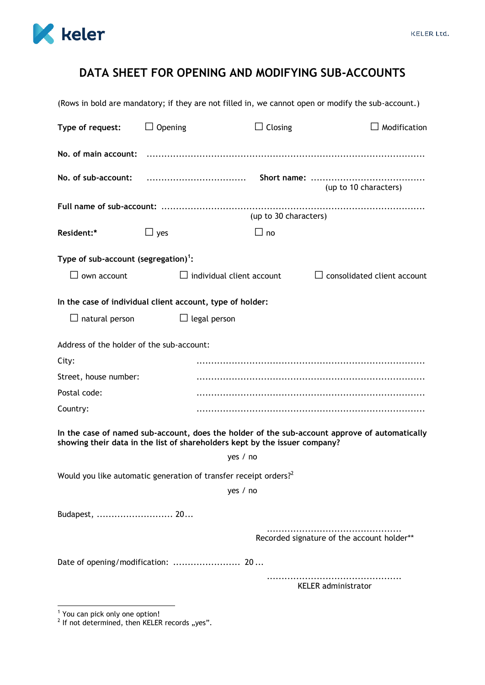

## **DATA SHEET FOR OPENING AND MODIFYING SUB-ACCOUNTS**

| (Rows in bold are mandatory; if they are not filled in, we cannot open or modify the sub-account.)                                                                          |                                  |                |                                            |
|-----------------------------------------------------------------------------------------------------------------------------------------------------------------------------|----------------------------------|----------------|--------------------------------------------|
| Type of request:                                                                                                                                                            | $\Box$ Opening                   | $\Box$ Closing | $\Box$ Modification                        |
|                                                                                                                                                                             |                                  |                |                                            |
| No. of sub-account:                                                                                                                                                         |                                  |                | (up to 10 characters)                      |
| (up to 30 characters)                                                                                                                                                       |                                  |                |                                            |
| Resident:*                                                                                                                                                                  | $\Box$ yes                       | $\Box$ no      |                                            |
| Type of sub-account (segregation) <sup>1</sup> :                                                                                                                            |                                  |                |                                            |
| own account                                                                                                                                                                 | $\Box$ individual client account |                | $\Box$ consolidated client account         |
| In the case of individual client account, type of holder:<br>$\Box$ natural person<br>$\Box$ legal person                                                                   |                                  |                |                                            |
| Address of the holder of the sub-account:                                                                                                                                   |                                  |                |                                            |
| City:                                                                                                                                                                       |                                  |                |                                            |
| Street, house number:                                                                                                                                                       |                                  |                |                                            |
| Postal code:                                                                                                                                                                |                                  |                |                                            |
| Country:                                                                                                                                                                    |                                  |                |                                            |
| In the case of named sub-account, does the holder of the sub-account approve of automatically<br>showing their data in the list of shareholders kept by the issuer company? |                                  |                |                                            |
|                                                                                                                                                                             | yes / no                         |                |                                            |
| Would you like automatic generation of transfer receipt orders? <sup>2</sup>                                                                                                |                                  |                |                                            |
|                                                                                                                                                                             | yes / no                         |                |                                            |
| Budapest,  20                                                                                                                                                               |                                  |                |                                            |
|                                                                                                                                                                             |                                  |                | Recorded signature of the account holder** |
| Date of opening/modification:  20                                                                                                                                           |                                  |                |                                            |
|                                                                                                                                                                             |                                  |                | <b>KELER</b> administrator                 |

 1 You can pick only one option! 2 If not determined, then KELER records "yes".